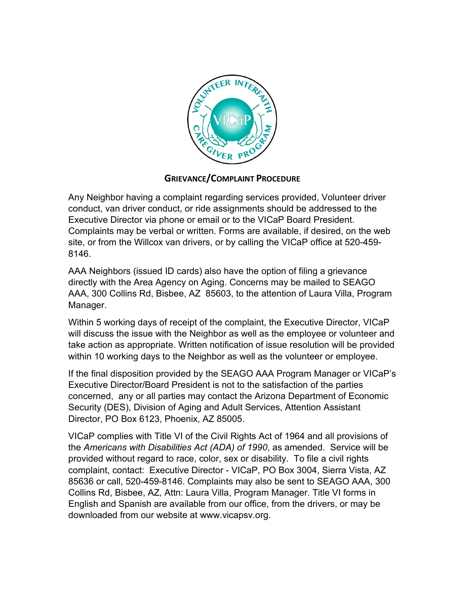

## **GRIEVANCE/COMPLAINT PROCEDURE**

Any Neighbor having a complaint regarding services provided, Volunteer driver conduct, van driver conduct, or ride assignments should be addressed to the Executive Director via phone or email or to the VICaP Board President. Complaints may be verbal or written. Forms are available, if desired, on the web site, or from the Willcox van drivers, or by calling the VICaP office at 520-459- 8146.

AAA Neighbors (issued ID cards) also have the option of filing a grievance directly with the Area Agency on Aging. Concerns may be mailed to SEAGO AAA, 300 Collins Rd, Bisbee, AZ 85603, to the attention of Laura Villa, Program Manager.

Within 5 working days of receipt of the complaint, the Executive Director, VICaP will discuss the issue with the Neighbor as well as the employee or volunteer and take action as appropriate. Written notification of issue resolution will be provided within 10 working days to the Neighbor as well as the volunteer or employee.

If the final disposition provided by the SEAGO AAA Program Manager or VICaP's Executive Director/Board President is not to the satisfaction of the parties concerned, any or all parties may contact the Arizona Department of Economic Security (DES), Division of Aging and Adult Services, Attention Assistant Director, PO Box 6123, Phoenix, AZ 85005.

VICaP complies with Title VI of the Civil Rights Act of 1964 and all provisions of the *Americans with Disabilities Act (ADA) of 1990*, as amended. Service will be provided without regard to race, color, sex or disability. To file a civil rights complaint, contact: Executive Director - VICaP, PO Box 3004, Sierra Vista, AZ 85636 or call, 520-459-8146. Complaints may also be sent to SEAGO AAA, 300 Collins Rd, Bisbee, AZ, Attn: Laura Villa, Program Manager. Title VI forms in English and Spanish are available from our office, from the drivers, or may be downloaded from our website at www.vicapsv.org.